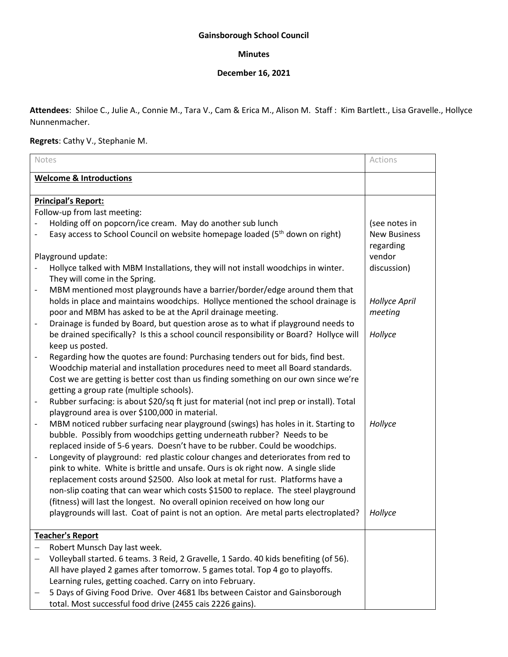## **Gainsborough School Council**

## **Minutes**

## **December 16, 2021**

**Attendees**: Shiloe C., Julie A., Connie M., Tara V., Cam & Erica M., Alison M. Staff : Kim Bartlett., Lisa Gravelle., Hollyce Nunnenmacher.

## **Regrets**: Cathy V., Stephanie M.

| Notes                                                                                                                                                                   | Actions                          |
|-------------------------------------------------------------------------------------------------------------------------------------------------------------------------|----------------------------------|
| <b>Welcome &amp; Introductions</b>                                                                                                                                      |                                  |
| <b>Principal's Report:</b>                                                                                                                                              |                                  |
| Follow-up from last meeting:                                                                                                                                            |                                  |
| Holding off on popcorn/ice cream. May do another sub lunch                                                                                                              | (see notes in                    |
| Easy access to School Council on website homepage loaded (5 <sup>th</sup> down on right)                                                                                | <b>New Business</b><br>regarding |
| Playground update:                                                                                                                                                      | vendor                           |
| Hollyce talked with MBM Installations, they will not install woodchips in winter.<br>They will come in the Spring.                                                      | discussion)                      |
| MBM mentioned most playgrounds have a barrier/border/edge around them that<br>$\overline{\phantom{a}}$                                                                  |                                  |
| holds in place and maintains woodchips. Hollyce mentioned the school drainage is                                                                                        | <b>Hollyce April</b>             |
| poor and MBM has asked to be at the April drainage meeting.                                                                                                             | meeting                          |
| Drainage is funded by Board, but question arose as to what if playground needs to<br>$\overline{\phantom{a}}$                                                           |                                  |
| be drained specifically? Is this a school council responsibility or Board? Hollyce will                                                                                 | Hollyce                          |
| keep us posted.                                                                                                                                                         |                                  |
| Regarding how the quotes are found: Purchasing tenders out for bids, find best.                                                                                         |                                  |
| Woodchip material and installation procedures need to meet all Board standards.<br>Cost we are getting is better cost than us finding something on our own since we're  |                                  |
| getting a group rate (multiple schools).                                                                                                                                |                                  |
| Rubber surfacing: is about \$20/sq ft just for material (not incl prep or install). Total<br>$\overline{\phantom{0}}$<br>playground area is over \$100,000 in material. |                                  |
| MBM noticed rubber surfacing near playground (swings) has holes in it. Starting to<br>$\overline{\phantom{a}}$                                                          | Hollyce                          |
| bubble. Possibly from woodchips getting underneath rubber? Needs to be                                                                                                  |                                  |
| replaced inside of 5-6 years. Doesn't have to be rubber. Could be woodchips.                                                                                            |                                  |
| Longevity of playground: red plastic colour changes and deteriorates from red to<br>$\qquad \qquad \blacksquare$                                                        |                                  |
| pink to white. White is brittle and unsafe. Ours is ok right now. A single slide                                                                                        |                                  |
| replacement costs around \$2500. Also look at metal for rust. Platforms have a                                                                                          |                                  |
| non-slip coating that can wear which costs \$1500 to replace. The steel playground                                                                                      |                                  |
| (fitness) will last the longest. No overall opinion received on how long our                                                                                            |                                  |
| playgrounds will last. Coat of paint is not an option. Are metal parts electroplated?                                                                                   | Hollyce                          |
| <b>Teacher's Report</b>                                                                                                                                                 |                                  |
| Robert Munsch Day last week.                                                                                                                                            |                                  |
| Volleyball started. 6 teams. 3 Reid, 2 Gravelle, 1 Sardo. 40 kids benefiting (of 56).                                                                                   |                                  |
| All have played 2 games after tomorrow. 5 games total. Top 4 go to playoffs.                                                                                            |                                  |
| Learning rules, getting coached. Carry on into February.                                                                                                                |                                  |
| 5 Days of Giving Food Drive. Over 4681 lbs between Caistor and Gainsborough                                                                                             |                                  |
| total. Most successful food drive (2455 cais 2226 gains).                                                                                                               |                                  |